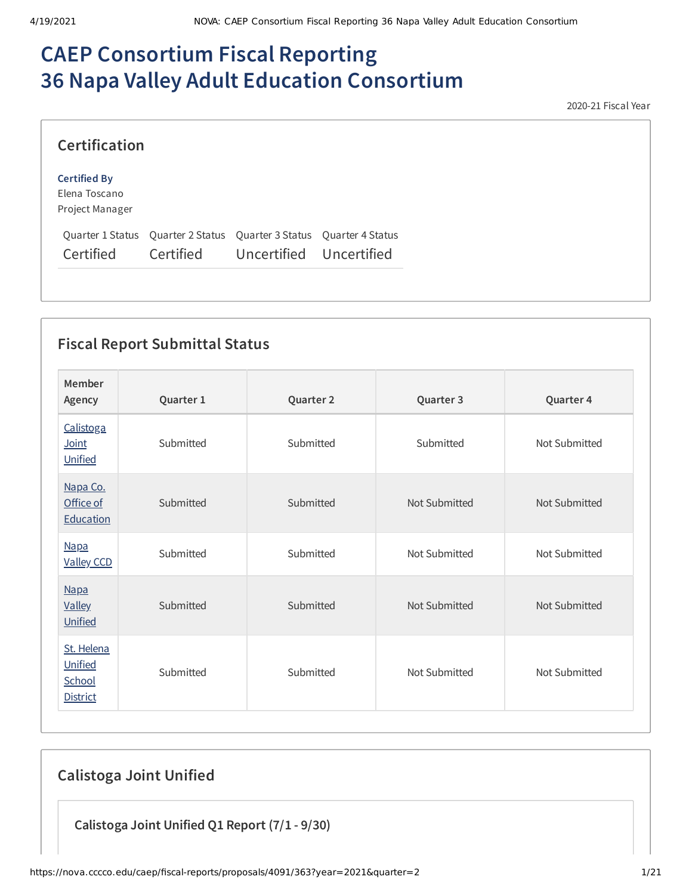# **CAEP Consortium Fiscal Reporting 36 Napa Valley Adult Education Consortium**

2020-21 Fiscal Year

| <b>Certification</b>                                    |                                                                                                          |  |
|---------------------------------------------------------|----------------------------------------------------------------------------------------------------------|--|
| <b>Certified By</b><br>Elena Toscano<br>Project Manager |                                                                                                          |  |
| Certified                                               | Quarter 1 Status Quarter 2 Status Quarter 3 Status Quarter 4 Status<br>Certified Uncertified Uncertified |  |

# **Fiscal Report Submittal Status**

| Member<br>Agency                                   | Quarter 1 | Quarter 2 | Quarter 3     | Quarter 4     |
|----------------------------------------------------|-----------|-----------|---------------|---------------|
| Calistoga<br>Joint<br>Unified                      | Submitted | Submitted | Submitted     | Not Submitted |
| Napa Co.<br>Office of<br>Education                 | Submitted | Submitted | Not Submitted | Not Submitted |
| <b>Napa</b><br><b>Valley CCD</b>                   | Submitted | Submitted | Not Submitted | Not Submitted |
| <b>Napa</b><br><b>Valley</b><br>Unified            | Submitted | Submitted | Not Submitted | Not Submitted |
| St. Helena<br>Unified<br>School<br><b>District</b> | Submitted | Submitted | Not Submitted | Not Submitted |

# **Calistoga Joint Unified**

**Calistoga Joint Unified Q1 Report (7/1 - 9/30)**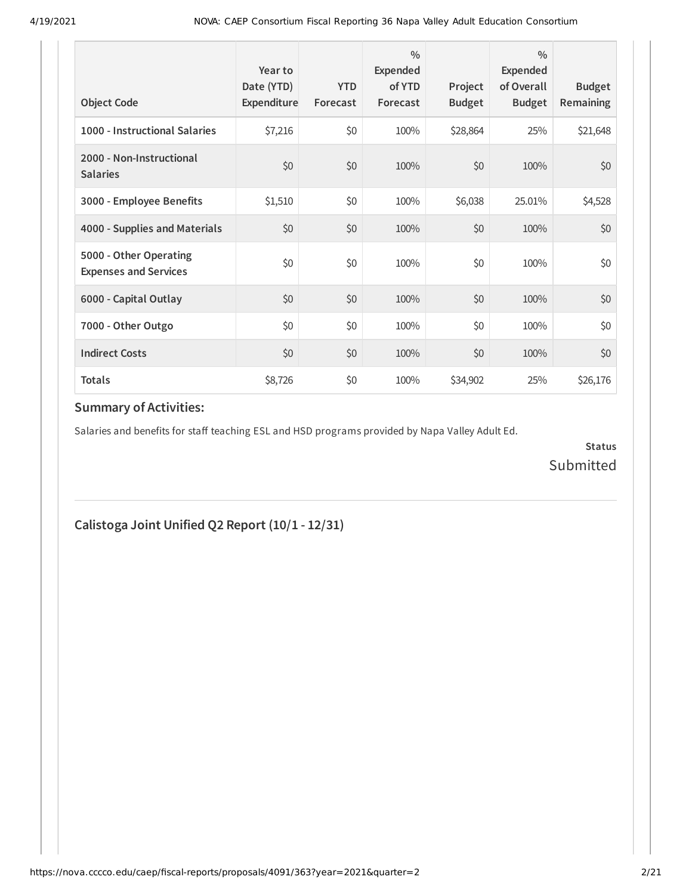| <b>Object Code</b>                                     | Year to<br>Date (YTD)<br>Expenditure | <b>YTD</b><br>Forecast | $\frac{0}{0}$<br>Expended<br>of YTD<br>Forecast | Project<br><b>Budget</b> | $\frac{0}{0}$<br>Expended<br>of Overall<br><b>Budget</b> | <b>Budget</b><br><b>Remaining</b> |
|--------------------------------------------------------|--------------------------------------|------------------------|-------------------------------------------------|--------------------------|----------------------------------------------------------|-----------------------------------|
| 1000 - Instructional Salaries                          | \$7,216                              | \$0                    | 100%                                            | \$28,864                 | 25%                                                      | \$21,648                          |
| 2000 - Non-Instructional<br><b>Salaries</b>            | \$0                                  | \$0                    | 100%                                            | \$0                      | 100%                                                     | \$0                               |
| 3000 - Employee Benefits                               | \$1,510                              | \$0                    | 100%                                            | \$6,038                  | 25.01%                                                   | \$4,528                           |
| 4000 - Supplies and Materials                          | \$0                                  | \$0                    | 100%                                            | \$0                      | 100%                                                     | \$0                               |
| 5000 - Other Operating<br><b>Expenses and Services</b> | \$0                                  | \$0                    | 100%                                            | \$0                      | 100%                                                     | \$0                               |
| 6000 - Capital Outlay                                  | \$0                                  | \$0                    | 100%                                            | \$0                      | 100%                                                     | \$0                               |
| 7000 - Other Outgo                                     | \$0                                  | \$0                    | 100%                                            | \$0                      | 100%                                                     | \$0                               |
| <b>Indirect Costs</b>                                  | \$0                                  | \$0                    | 100%                                            | \$0                      | 100%                                                     | \$0                               |
| <b>Totals</b>                                          | \$8,726                              | \$0                    | 100%                                            | \$34,902                 | 25%                                                      | \$26,176                          |

Salaries and benefits for staff teaching ESL and HSD programs provided by Napa Valley Adult Ed.

**Status** Submitted

## **Calistoga Joint Unified Q2 Report (10/1 - 12/31)**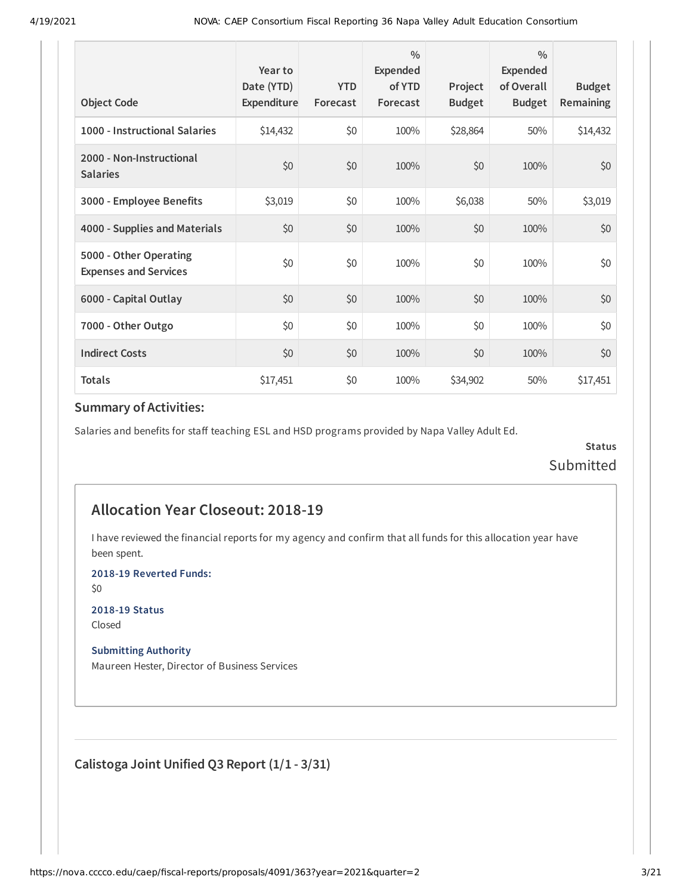| <b>Object Code</b>                                     | Year to<br>Date (YTD)<br>Expenditure | <b>YTD</b><br>Forecast | $\frac{0}{0}$<br>Expended<br>of YTD<br>Forecast | Project<br><b>Budget</b> | $\frac{0}{0}$<br>Expended<br>of Overall<br><b>Budget</b> | <b>Budget</b><br>Remaining |
|--------------------------------------------------------|--------------------------------------|------------------------|-------------------------------------------------|--------------------------|----------------------------------------------------------|----------------------------|
| 1000 - Instructional Salaries                          | \$14,432                             | \$0                    | 100%                                            | \$28,864                 | 50%                                                      | \$14,432                   |
| 2000 - Non-Instructional<br><b>Salaries</b>            | \$0                                  | \$0                    | 100%                                            | \$0                      | 100%                                                     | \$0                        |
| 3000 - Employee Benefits                               | \$3,019                              | \$0                    | 100%                                            | \$6,038                  | 50%                                                      | \$3,019                    |
| 4000 - Supplies and Materials                          | \$0                                  | \$0                    | 100%                                            | \$0                      | 100%                                                     | \$0                        |
| 5000 - Other Operating<br><b>Expenses and Services</b> | \$0                                  | \$0                    | 100%                                            | \$0                      | 100%                                                     | \$0                        |
| 6000 - Capital Outlay                                  | \$0                                  | \$0                    | 100%                                            | \$0                      | 100%                                                     | \$0                        |
| 7000 - Other Outgo                                     | \$0                                  | \$0                    | 100%                                            | \$0                      | 100%                                                     | \$0                        |
| <b>Indirect Costs</b>                                  | \$0                                  | \$0                    | 100%                                            | \$0                      | 100%                                                     | \$0                        |
| <b>Totals</b>                                          | \$17,451                             | \$0                    | 100%                                            | \$34,902                 | 50%                                                      | \$17,451                   |

Salaries and benefits for staff teaching ESL and HSD programs provided by Napa Valley Adult Ed.

**Status** Submitted

## **Allocation Year Closeout: 2018-19**

I have reviewed the financial reports for my agency and confirm that all funds for this allocation year have been spent.

**2018-19 Reverted Funds:**

\$0

**2018-19 Status** Closed

**Submitting Authority**

Maureen Hester, Director of Business Services

**Calistoga Joint Unified Q3 Report (1/1 - 3/31)**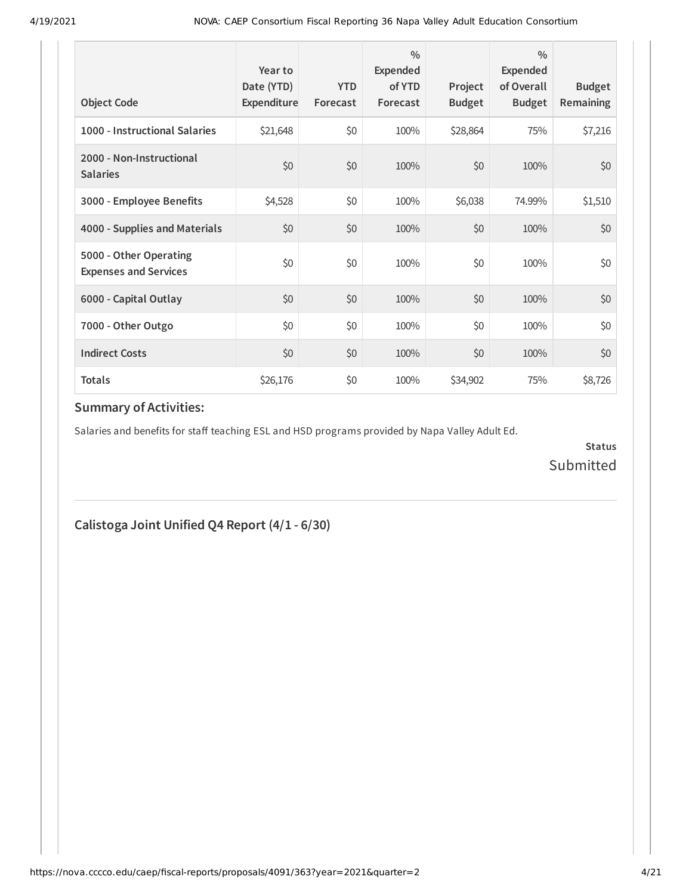| <b>Object Code</b>                                     | Year to<br>Date (YTD)<br>Expenditure | <b>YTD</b><br>Forecast | $\frac{0}{0}$<br>Expended<br>of YTD<br>Forecast | Project<br><b>Budget</b> | $\frac{0}{0}$<br>Expended<br>of Overall<br><b>Budget</b> | <b>Budget</b><br><b>Remaining</b> |
|--------------------------------------------------------|--------------------------------------|------------------------|-------------------------------------------------|--------------------------|----------------------------------------------------------|-----------------------------------|
| 1000 - Instructional Salaries                          | \$21,648                             | \$0                    | 100%                                            | \$28,864                 | 75%                                                      | \$7,216                           |
| 2000 - Non-Instructional<br><b>Salaries</b>            | \$0                                  | \$0                    | 100%                                            | \$0                      | 100%                                                     | \$0                               |
| 3000 - Employee Benefits                               | \$4,528                              | \$0                    | 100%                                            | \$6,038                  | 74.99%                                                   | \$1,510                           |
| 4000 - Supplies and Materials                          | \$0                                  | \$0                    | 100%                                            | \$0                      | 100%                                                     | \$0                               |
| 5000 - Other Operating<br><b>Expenses and Services</b> | \$0                                  | \$0                    | 100%                                            | \$0                      | 100%                                                     | \$0                               |
| 6000 - Capital Outlay                                  | \$0                                  | \$0                    | 100%                                            | \$0                      | 100%                                                     | \$0                               |
| 7000 - Other Outgo                                     | \$0                                  | \$0                    | 100%                                            | \$0                      | 100%                                                     | \$0                               |
| <b>Indirect Costs</b>                                  | \$0                                  | \$0                    | 100%                                            | \$0                      | 100%                                                     | \$0                               |
| <b>Totals</b>                                          | \$26,176                             | \$0                    | 100%                                            | \$34,902                 | 75%                                                      | \$8,726                           |

Salaries and benefits for staff teaching ESL and HSD programs provided by Napa Valley Adult Ed.

**Status** Submitted

**Calistoga Joint Unified Q4 Report (4/1 - 6/30)**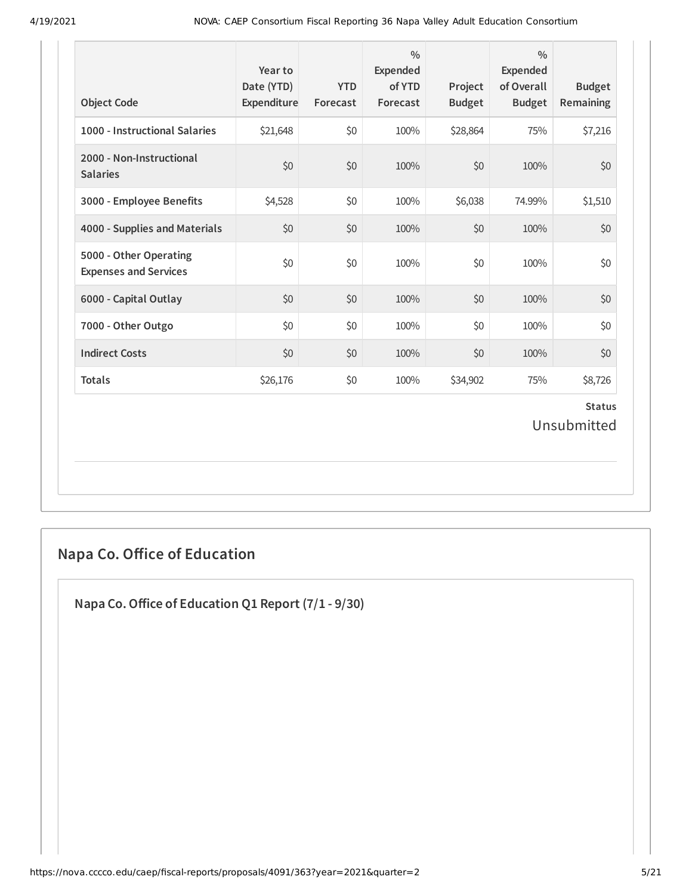| <b>Object Code</b>                                     | Year to<br>Date (YTD)<br>Expenditure | <b>YTD</b><br>Forecast | $\frac{0}{0}$<br>Expended<br>of YTD<br>Forecast | Project<br><b>Budget</b> | $\frac{0}{0}$<br><b>Expended</b><br>of Overall<br><b>Budget</b> | <b>Budget</b><br><b>Remaining</b> |
|--------------------------------------------------------|--------------------------------------|------------------------|-------------------------------------------------|--------------------------|-----------------------------------------------------------------|-----------------------------------|
| 1000 - Instructional Salaries                          | \$21,648                             | \$0                    | 100%                                            | \$28,864                 | 75%                                                             | \$7,216                           |
| 2000 - Non-Instructional<br><b>Salaries</b>            | \$0                                  | \$0                    | 100%                                            | \$0                      | 100%                                                            | \$0                               |
| 3000 - Employee Benefits                               | \$4,528                              | \$0                    | 100%                                            | \$6,038                  | 74.99%                                                          | \$1,510                           |
| 4000 - Supplies and Materials                          | \$0                                  | \$0                    | 100%                                            | \$0                      | 100%                                                            | \$0                               |
| 5000 - Other Operating<br><b>Expenses and Services</b> | \$0                                  | \$0                    | 100%                                            | \$0                      | 100%                                                            | \$0                               |
| 6000 - Capital Outlay                                  | \$0                                  | \$0                    | 100%                                            | \$0                      | 100%                                                            | \$0                               |
| 7000 - Other Outgo                                     | \$0                                  | \$0                    | 100%                                            | \$0                      | 100%                                                            | \$0                               |
| <b>Indirect Costs</b>                                  | \$0                                  | \$0                    | 100%                                            | \$0                      | 100%                                                            | \$0                               |
| <b>Totals</b>                                          | \$26,176                             | \$0                    | 100%                                            | \$34,902                 | 75%                                                             | \$8,726                           |
|                                                        |                                      |                        |                                                 |                          |                                                                 | <b>Status</b><br>Unsubmitted      |

# **Napa Co. Oice of Education**

**Napa Co.Oice of Education Q1 Report (7/1 - 9/30)**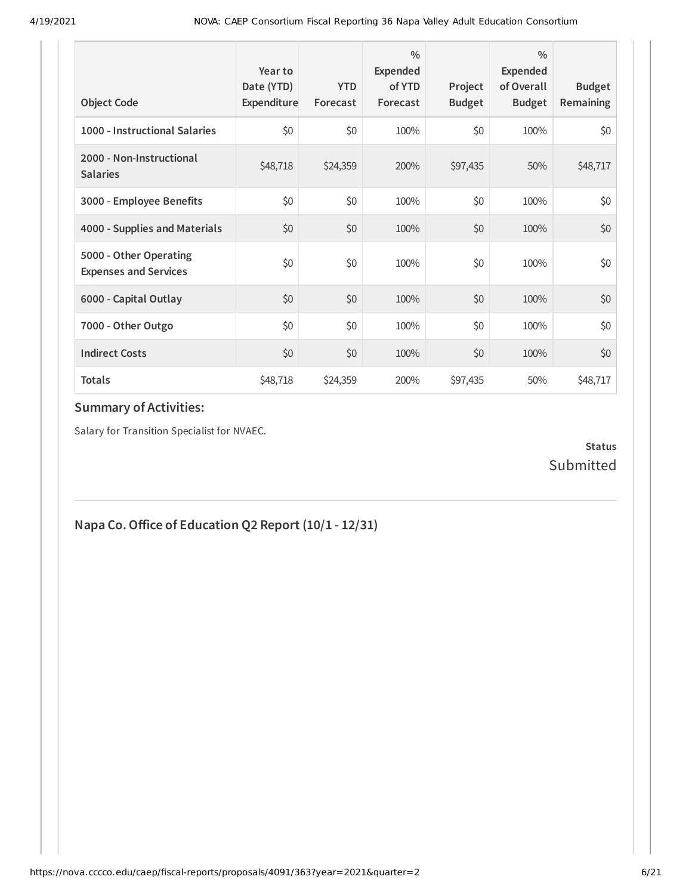| <b>Object Code</b>                                     | Year to<br>Date (YTD)<br>Expenditure | <b>YTD</b><br>Forecast | $\frac{0}{0}$<br>Expended<br>of YTD<br>Forecast | Project<br><b>Budget</b> | $\frac{0}{0}$<br>Expended<br>of Overall<br><b>Budget</b> | <b>Budget</b><br>Remaining |
|--------------------------------------------------------|--------------------------------------|------------------------|-------------------------------------------------|--------------------------|----------------------------------------------------------|----------------------------|
| 1000 - Instructional Salaries                          | \$0                                  | \$0                    | 100%                                            | \$0                      | 100%                                                     | \$0                        |
| 2000 - Non-Instructional<br><b>Salaries</b>            | \$48,718                             | \$24,359               | 200%                                            | \$97,435                 | 50%                                                      | \$48,717                   |
| 3000 - Employee Benefits                               | \$0                                  | \$0                    | 100%                                            | \$0                      | 100%                                                     | \$0                        |
| 4000 - Supplies and Materials                          | \$0                                  | \$0                    | 100%                                            | \$0                      | 100%                                                     | \$0                        |
| 5000 - Other Operating<br><b>Expenses and Services</b> | \$0                                  | \$0                    | 100%                                            | \$0                      | 100%                                                     | \$0                        |
| 6000 - Capital Outlay                                  | \$0                                  | \$0                    | 100%                                            | \$0                      | 100%                                                     | \$0                        |
| 7000 - Other Outgo                                     | \$0                                  | \$0                    | 100%                                            | \$0                      | 100%                                                     | \$0                        |
| <b>Indirect Costs</b>                                  | \$0                                  | \$0                    | 100%                                            | \$0                      | 100%                                                     | \$0                        |
| <b>Totals</b>                                          | \$48,718                             | \$24,359               | 200%                                            | \$97,435                 | 50%                                                      | \$48,717                   |

Salary for Transition Specialist for NVAEC.

### **Status** Submitted

# **Napa Co.Oice of Education Q2 Report (10/1 - 12/31)**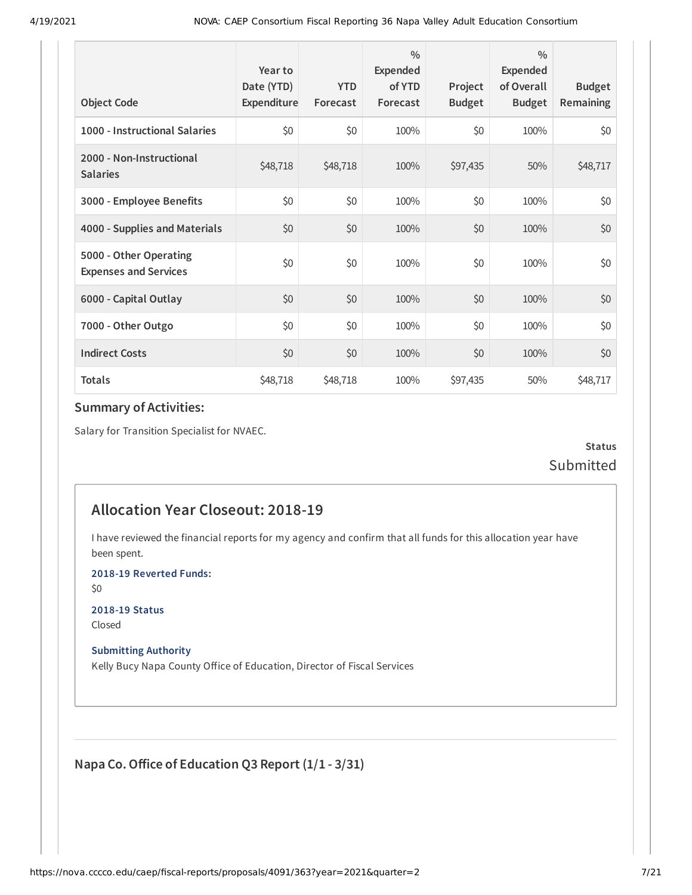| <b>Object Code</b>                                     | Year to<br>Date (YTD)<br>Expenditure | <b>YTD</b><br>Forecast | $\frac{0}{0}$<br>Expended<br>of YTD<br>Forecast | Project<br><b>Budget</b> | $\frac{0}{0}$<br>Expended<br>of Overall<br><b>Budget</b> | <b>Budget</b><br><b>Remaining</b> |
|--------------------------------------------------------|--------------------------------------|------------------------|-------------------------------------------------|--------------------------|----------------------------------------------------------|-----------------------------------|
| 1000 - Instructional Salaries                          | \$0                                  | \$0                    | 100%                                            | \$0                      | 100%                                                     | \$0                               |
| 2000 - Non-Instructional<br><b>Salaries</b>            | \$48,718                             | \$48,718               | 100%                                            | \$97,435                 | 50%                                                      | \$48,717                          |
| 3000 - Employee Benefits                               | \$0                                  | \$0                    | 100%                                            | \$0                      | 100%                                                     | \$0                               |
| 4000 - Supplies and Materials                          | \$0                                  | \$0                    | 100%                                            | \$0                      | 100%                                                     | \$0                               |
| 5000 - Other Operating<br><b>Expenses and Services</b> | \$0                                  | \$0                    | 100%                                            | \$0                      | 100%                                                     | \$0                               |
| 6000 - Capital Outlay                                  | \$0                                  | \$0                    | 100%                                            | \$0                      | 100%                                                     | \$0                               |
| 7000 - Other Outgo                                     | \$0                                  | \$0                    | 100%                                            | \$0                      | 100%                                                     | \$0                               |
| <b>Indirect Costs</b>                                  | \$0                                  | \$0                    | 100%                                            | \$0                      | 100%                                                     | \$0                               |
| <b>Totals</b>                                          | \$48,718                             | \$48,718               | 100%                                            | \$97,435                 | 50%                                                      | \$48,717                          |

Salary for Transition Specialist for NVAEC.

**Status** Submitted

## **Allocation Year Closeout: 2018-19**

I have reviewed the financial reports for my agency and confirm that all funds for this allocation year have been spent.

**2018-19 Reverted Funds:**

\$0

**2018-19 Status** Closed

**Submitting Authority**

Kelly Bucy Napa County Office of Education, Director of Fiscal Services

**Napa Co.Oice of Education Q3 Report (1/1 - 3/31)**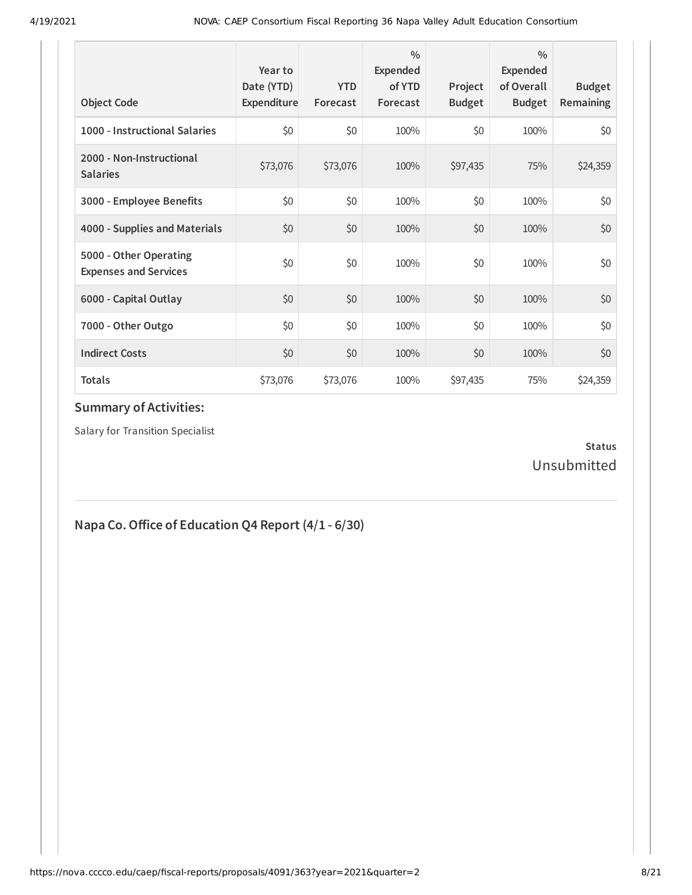| <b>Object Code</b>                                     | Year to<br>Date (YTD)<br>Expenditure | <b>YTD</b><br>Forecast | 0/0<br><b>Expended</b><br>of YTD<br>Forecast | Project<br><b>Budget</b> | $\frac{0}{0}$<br>Expended<br>of Overall<br><b>Budget</b> | <b>Budget</b><br><b>Remaining</b> |
|--------------------------------------------------------|--------------------------------------|------------------------|----------------------------------------------|--------------------------|----------------------------------------------------------|-----------------------------------|
| 1000 - Instructional Salaries                          | \$0                                  | \$0                    | 100%                                         | \$0                      | 100%                                                     | \$0                               |
| 2000 - Non-Instructional<br><b>Salaries</b>            | \$73,076                             | \$73,076               | 100%                                         | \$97,435                 | 75%                                                      | \$24,359                          |
| 3000 - Employee Benefits                               | \$0                                  | \$0                    | 100%                                         | \$0                      | 100%                                                     | \$0                               |
| 4000 - Supplies and Materials                          | \$0                                  | \$0                    | 100%                                         | \$0                      | 100%                                                     | \$0                               |
| 5000 - Other Operating<br><b>Expenses and Services</b> | \$0                                  | \$0                    | 100%                                         | \$0                      | 100%                                                     | \$0                               |
| 6000 - Capital Outlay                                  | \$0                                  | \$0                    | 100%                                         | \$0                      | 100%                                                     | \$0                               |
| 7000 - Other Outgo                                     | \$0                                  | \$0                    | 100%                                         | \$0                      | 100%                                                     | \$0                               |
| <b>Indirect Costs</b>                                  | \$0                                  | \$0                    | 100%                                         | \$0                      | 100%                                                     | \$0                               |
| <b>Totals</b>                                          | \$73,076                             | \$73,076               | 100%                                         | \$97,435                 | 75%                                                      | \$24,359                          |

Salary for Transition Specialist

### **Status** Unsubmitted

# **Napa Co.Oice of Education Q4 Report (4/1 - 6/30)**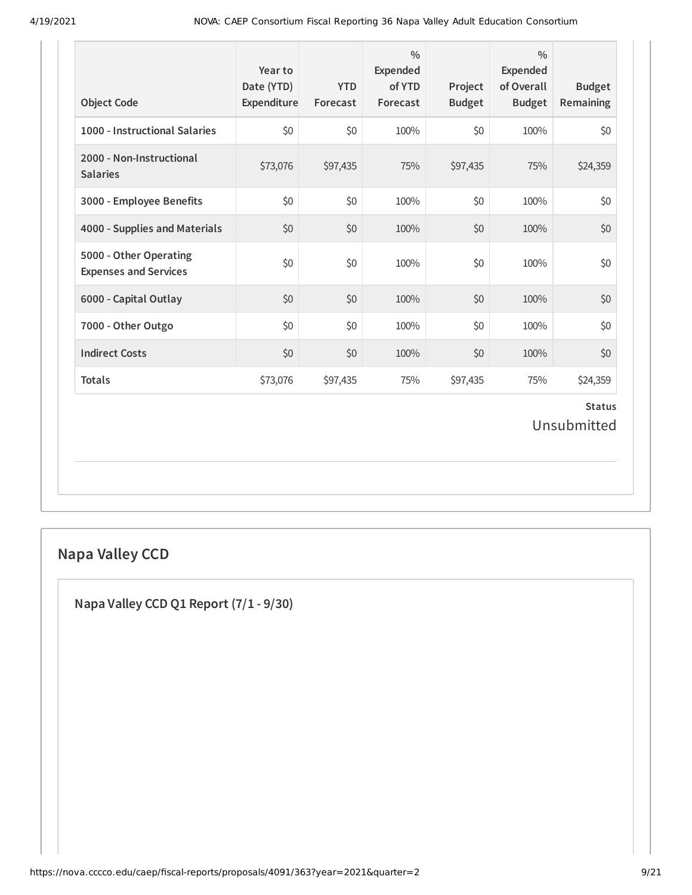| <b>Object Code</b>                                     | Year to<br>Date (YTD)<br>Expenditure | <b>YTD</b><br>Forecast | $\frac{0}{0}$<br>Expended<br>of YTD<br>Forecast | Project<br><b>Budget</b> | $\frac{0}{0}$<br>Expended<br>of Overall<br><b>Budget</b> | <b>Budget</b><br>Remaining   |
|--------------------------------------------------------|--------------------------------------|------------------------|-------------------------------------------------|--------------------------|----------------------------------------------------------|------------------------------|
| 1000 - Instructional Salaries                          | \$0                                  | \$0                    | 100%                                            | \$0                      | 100%                                                     | \$0                          |
| 2000 - Non-Instructional<br><b>Salaries</b>            | \$73,076                             | \$97,435               | 75%                                             | \$97,435                 | 75%                                                      | \$24,359                     |
| 3000 - Employee Benefits                               | \$0                                  | \$0                    | 100%                                            | \$0                      | 100%                                                     | \$0                          |
| 4000 - Supplies and Materials                          | \$0                                  | \$0                    | 100%                                            | \$0                      | 100%                                                     | \$0                          |
| 5000 - Other Operating<br><b>Expenses and Services</b> | \$0                                  | \$0                    | 100%                                            | \$0                      | 100%                                                     | \$0                          |
| 6000 - Capital Outlay                                  | \$0                                  | \$0                    | 100%                                            | \$0                      | 100%                                                     | \$0                          |
| 7000 - Other Outgo                                     | \$0                                  | \$0                    | 100%                                            | \$0                      | 100%                                                     | \$0                          |
| <b>Indirect Costs</b>                                  | \$0                                  | \$0                    | 100%                                            | \$0                      | 100%                                                     | \$0                          |
| <b>Totals</b>                                          | \$73,076                             | \$97,435               | 75%                                             | \$97,435                 | 75%                                                      | \$24,359                     |
|                                                        |                                      |                        |                                                 |                          |                                                          | <b>Status</b><br>Unsubmitted |

# **Napa Valley CCD**

**Napa Valley CCD Q1 Report (7/1 - 9/30)**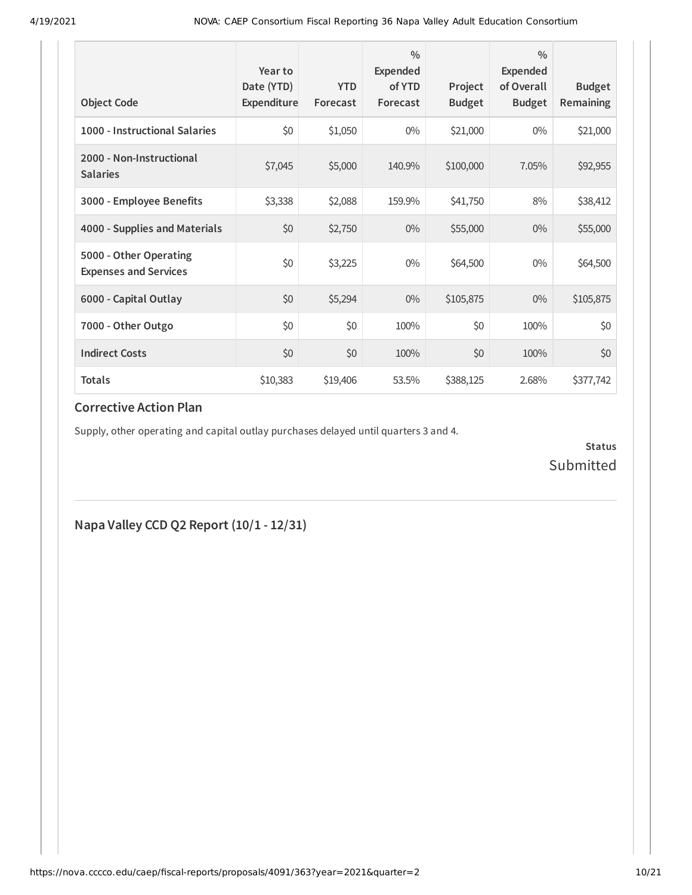| <b>Object Code</b>                                     | Year to<br>Date (YTD)<br>Expenditure | <b>YTD</b><br>Forecast | $\frac{0}{0}$<br><b>Expended</b><br>of YTD<br>Forecast | Project<br><b>Budget</b> | $\frac{0}{0}$<br>Expended<br>of Overall<br><b>Budget</b> | <b>Budget</b><br><b>Remaining</b> |
|--------------------------------------------------------|--------------------------------------|------------------------|--------------------------------------------------------|--------------------------|----------------------------------------------------------|-----------------------------------|
| 1000 - Instructional Salaries                          | \$0                                  | \$1,050                | $0\%$                                                  | \$21,000                 | $0\%$                                                    | \$21,000                          |
| 2000 - Non-Instructional<br><b>Salaries</b>            | \$7,045                              | \$5,000                | 140.9%                                                 | \$100,000                | 7.05%                                                    | \$92,955                          |
| 3000 - Employee Benefits                               | \$3,338                              | \$2,088                | 159.9%                                                 | \$41,750                 | 8%                                                       | \$38,412                          |
| 4000 - Supplies and Materials                          | \$0                                  | \$2,750                | $0\%$                                                  | \$55,000                 | $0\%$                                                    | \$55,000                          |
| 5000 - Other Operating<br><b>Expenses and Services</b> | \$0                                  | \$3,225                | $0\%$                                                  | \$64,500                 | $0\%$                                                    | \$64,500                          |
| 6000 - Capital Outlay                                  | \$0                                  | \$5,294                | $0\%$                                                  | \$105,875                | $0\%$                                                    | \$105,875                         |
| 7000 - Other Outgo                                     | \$0                                  | \$0                    | 100%                                                   | \$0                      | 100%                                                     | \$0                               |
| <b>Indirect Costs</b>                                  | \$0                                  | \$0                    | 100%                                                   | \$0                      | 100%                                                     | \$0                               |
| <b>Totals</b>                                          | \$10,383                             | \$19,406               | 53.5%                                                  | \$388,125                | 2.68%                                                    | \$377,742                         |

### **Corrective Action Plan**

Supply, other operating and capital outlay purchases delayed until quarters 3 and 4.

**Status** Submitted

**Napa Valley CCD Q2 Report (10/1 - 12/31)**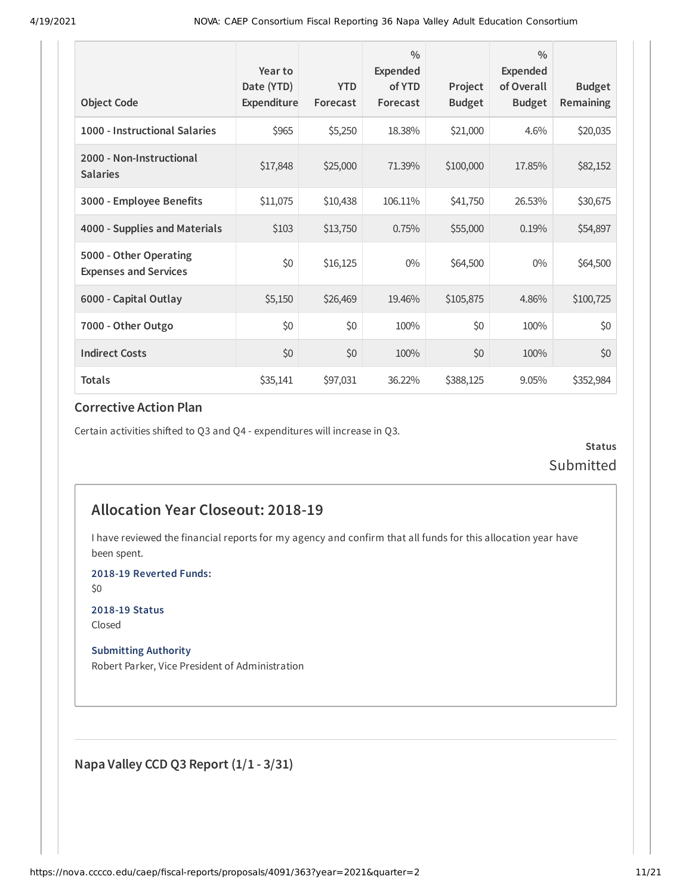| <b>Object Code</b>                                     | Year to<br>Date (YTD)<br>Expenditure | <b>YTD</b><br>Forecast | $\frac{0}{0}$<br>Expended<br>of YTD<br>Forecast | Project<br><b>Budget</b> | $\frac{0}{0}$<br><b>Expended</b><br>of Overall<br><b>Budget</b> | <b>Budget</b><br>Remaining |
|--------------------------------------------------------|--------------------------------------|------------------------|-------------------------------------------------|--------------------------|-----------------------------------------------------------------|----------------------------|
| 1000 - Instructional Salaries                          | \$965                                | \$5,250                | 18.38%                                          | \$21,000                 | 4.6%                                                            | \$20,035                   |
| 2000 - Non-Instructional<br><b>Salaries</b>            | \$17,848                             | \$25,000               | 71.39%                                          | \$100,000                | 17.85%                                                          | \$82,152                   |
| 3000 - Employee Benefits                               | \$11,075                             | \$10,438               | 106.11%                                         | \$41,750                 | 26.53%                                                          | \$30,675                   |
| 4000 - Supplies and Materials                          | \$103                                | \$13,750               | 0.75%                                           | \$55,000                 | 0.19%                                                           | \$54,897                   |
| 5000 - Other Operating<br><b>Expenses and Services</b> | \$0                                  | \$16,125               | $0\%$                                           | \$64,500                 | $0\%$                                                           | \$64,500                   |
| 6000 - Capital Outlay                                  | \$5,150                              | \$26,469               | 19.46%                                          | \$105,875                | 4.86%                                                           | \$100,725                  |
| 7000 - Other Outgo                                     | \$0                                  | \$0                    | 100%                                            | \$0                      | 100%                                                            | \$0                        |
| <b>Indirect Costs</b>                                  | \$0                                  | \$0                    | 100%                                            | \$0                      | 100%                                                            | \$0                        |
| <b>Totals</b>                                          | \$35,141                             | \$97,031               | 36.22%                                          | \$388,125                | 9.05%                                                           | \$352,984                  |

#### **Corrective Action Plan**

Certain activities shifted to Q3 and Q4 - expenditures will increase in Q3.

**Status** Submitted

## **Allocation Year Closeout: 2018-19**

I have reviewed the financial reports for my agency and confirm that all funds for this allocation year have been spent.

**2018-19 Reverted Funds:**

\$0

**2018-19 Status** Closed

**Submitting Authority**

Robert Parker, Vice President of Administration

**Napa Valley CCD Q3 Report (1/1 - 3/31)**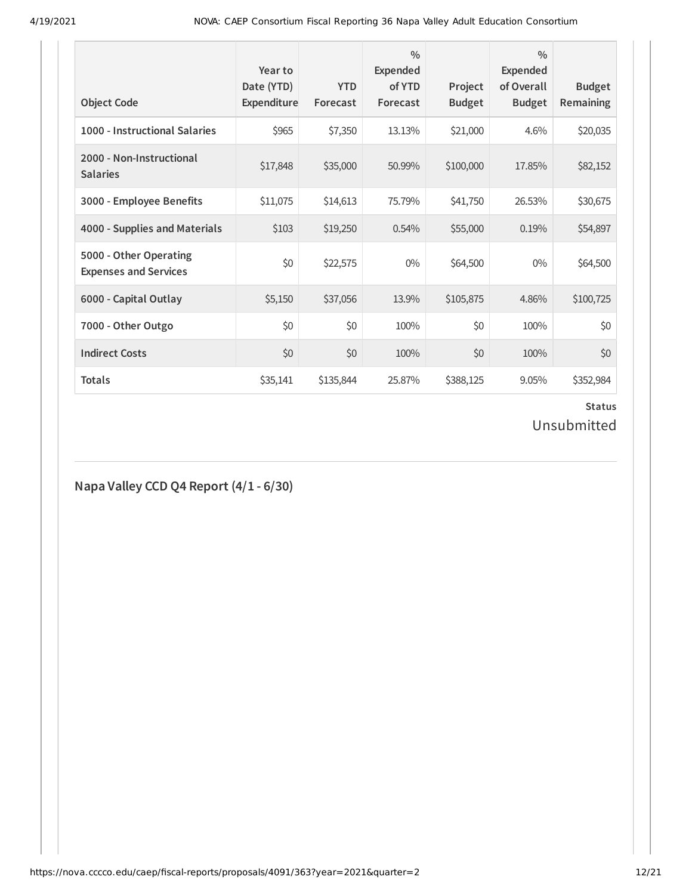| <b>Object Code</b>                                     | Year to<br>Date (YTD)<br>Expenditure | <b>YTD</b><br>Forecast | $\frac{0}{0}$<br>Expended<br>of YTD<br>Forecast | Project<br><b>Budget</b> | $\frac{0}{0}$<br>Expended<br>of Overall<br><b>Budget</b> | <b>Budget</b><br><b>Remaining</b> |
|--------------------------------------------------------|--------------------------------------|------------------------|-------------------------------------------------|--------------------------|----------------------------------------------------------|-----------------------------------|
| 1000 - Instructional Salaries                          | \$965                                | \$7,350                | 13.13%                                          | \$21,000                 | 4.6%                                                     | \$20,035                          |
| 2000 - Non-Instructional<br><b>Salaries</b>            | \$17,848                             | \$35,000               | 50.99%                                          | \$100,000                | 17.85%                                                   | \$82,152                          |
| 3000 - Employee Benefits                               | \$11,075                             | \$14,613               | 75.79%                                          | \$41,750                 | 26.53%                                                   | \$30,675                          |
| 4000 - Supplies and Materials                          | \$103                                | \$19,250               | 0.54%                                           | \$55,000                 | 0.19%                                                    | \$54,897                          |
| 5000 - Other Operating<br><b>Expenses and Services</b> | \$0                                  | \$22,575               | $0\%$                                           | \$64,500                 | $0\%$                                                    | \$64,500                          |
| 6000 - Capital Outlay                                  | \$5,150                              | \$37,056               | 13.9%                                           | \$105,875                | 4.86%                                                    | \$100,725                         |
| 7000 - Other Outgo                                     | \$0                                  | \$0                    | 100%                                            | \$0                      | 100%                                                     | \$0                               |
| <b>Indirect Costs</b>                                  | \$0                                  | \$0                    | 100%                                            | \$0                      | 100%                                                     | \$0                               |
| <b>Totals</b>                                          | \$35,141                             | \$135,844              | 25.87%                                          | \$388,125                | 9.05%                                                    | \$352,984                         |

# **Status**

# Unsubmitted

## **Napa Valley CCD Q4 Report (4/1 - 6/30)**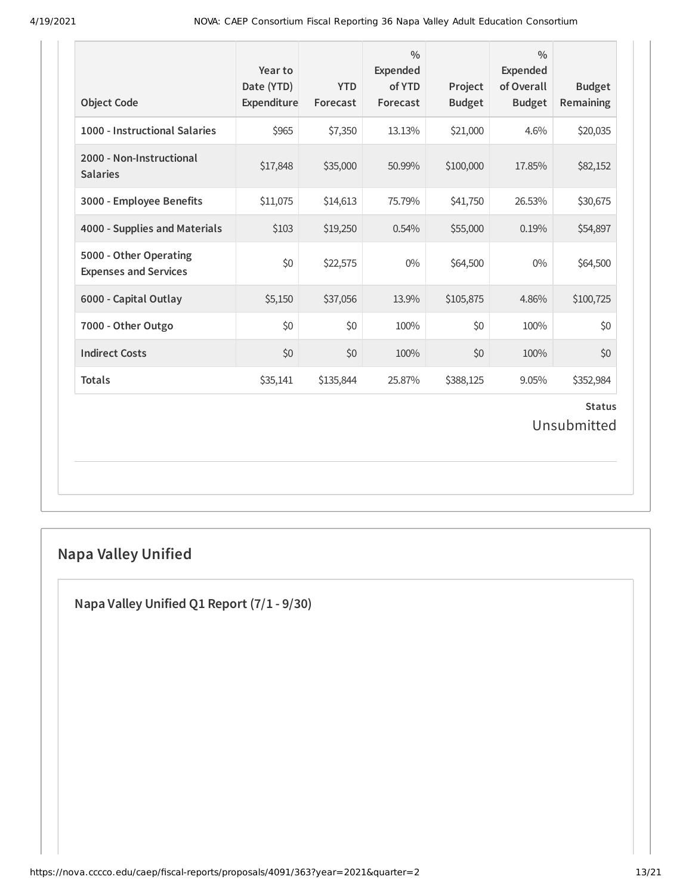| <b>Object Code</b>                                     | Year to<br>Date (YTD)<br>Expenditure | <b>YTD</b><br>Forecast | $\frac{0}{0}$<br><b>Expended</b><br>of YTD<br>Forecast | Project<br><b>Budget</b> | $\frac{0}{0}$<br><b>Expended</b><br>of Overall<br><b>Budget</b> | <b>Budget</b><br>Remaining   |
|--------------------------------------------------------|--------------------------------------|------------------------|--------------------------------------------------------|--------------------------|-----------------------------------------------------------------|------------------------------|
| 1000 - Instructional Salaries                          | \$965                                | \$7,350                | 13.13%                                                 | \$21,000                 | 4.6%                                                            | \$20,035                     |
| 2000 - Non-Instructional<br><b>Salaries</b>            | \$17,848                             | \$35,000               | 50.99%                                                 | \$100,000                | 17.85%                                                          | \$82,152                     |
| 3000 - Employee Benefits                               | \$11,075                             | \$14,613               | 75.79%                                                 | \$41,750                 | 26.53%                                                          | \$30,675                     |
| 4000 - Supplies and Materials                          | \$103                                | \$19,250               | 0.54%                                                  | \$55,000                 | 0.19%                                                           | \$54,897                     |
| 5000 - Other Operating<br><b>Expenses and Services</b> | \$0                                  | \$22,575               | $0\%$                                                  | \$64,500                 | $0\%$                                                           | \$64,500                     |
| 6000 - Capital Outlay                                  | \$5,150                              | \$37,056               | 13.9%                                                  | \$105,875                | 4.86%                                                           | \$100,725                    |
| 7000 - Other Outgo                                     | \$0                                  | \$0                    | 100%                                                   | \$0                      | 100%                                                            | \$0                          |
| <b>Indirect Costs</b>                                  | \$0                                  | \$0                    | 100%                                                   | \$0                      | 100%                                                            | \$0                          |
| <b>Totals</b>                                          | \$35,141                             | \$135,844              | 25.87%                                                 | \$388,125                | 9.05%                                                           | \$352,984                    |
|                                                        |                                      |                        |                                                        |                          |                                                                 | <b>Status</b><br>Unsubmitted |

# **Napa Valley Unified**

**Napa Valley Unified Q1 Report (7/1 - 9/30)**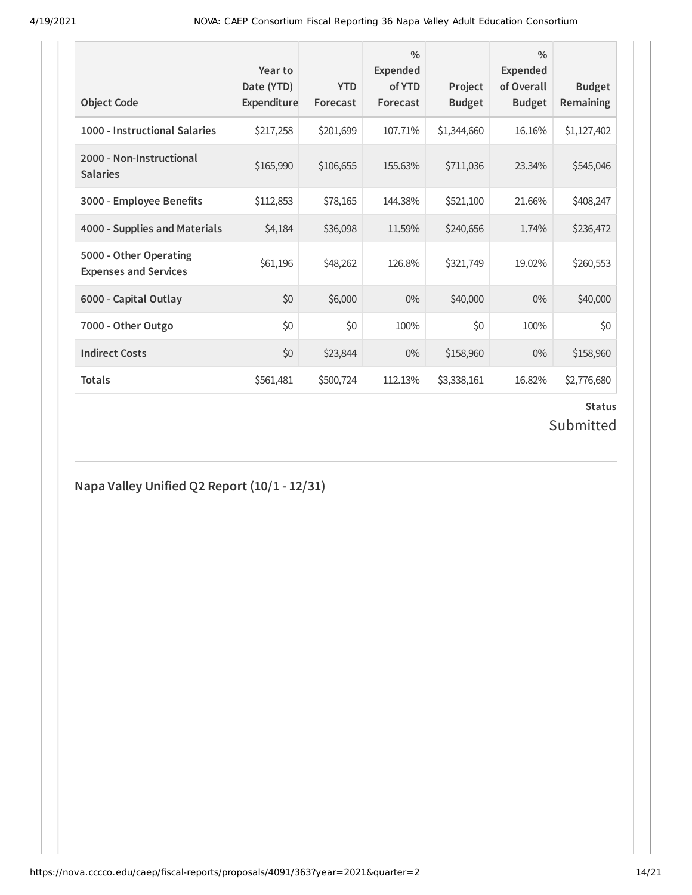| <b>Object Code</b>                                     | Year to<br>Date (YTD)<br>Expenditure | <b>YTD</b><br>Forecast | $\frac{0}{0}$<br><b>Expended</b><br>of YTD<br>Forecast | Project<br><b>Budget</b> | $\frac{0}{0}$<br><b>Expended</b><br>of Overall<br><b>Budget</b> | <b>Budget</b><br>Remaining |
|--------------------------------------------------------|--------------------------------------|------------------------|--------------------------------------------------------|--------------------------|-----------------------------------------------------------------|----------------------------|
| 1000 - Instructional Salaries                          | \$217,258                            | \$201,699              | 107.71%                                                | \$1,344,660              | 16.16%                                                          | \$1,127,402                |
| 2000 - Non-Instructional<br><b>Salaries</b>            | \$165,990                            | \$106,655              | 155.63%                                                | \$711,036                | 23.34%                                                          | \$545,046                  |
| 3000 - Employee Benefits                               | \$112,853                            | \$78,165               | 144.38%                                                | \$521,100                | 21.66%                                                          | \$408,247                  |
| 4000 - Supplies and Materials                          | \$4,184                              | \$36,098               | 11.59%                                                 | \$240,656                | 1.74%                                                           | \$236,472                  |
| 5000 - Other Operating<br><b>Expenses and Services</b> | \$61,196                             | \$48,262               | 126.8%                                                 | \$321,749                | 19.02%                                                          | \$260,553                  |
| 6000 - Capital Outlay                                  | \$0                                  | \$6,000                | $0\%$                                                  | \$40,000                 | $0\%$                                                           | \$40,000                   |
| 7000 - Other Outgo                                     | \$0                                  | \$0                    | 100%                                                   | \$0                      | 100%                                                            | \$0                        |
| <b>Indirect Costs</b>                                  | \$0                                  | \$23,844               | $0\%$                                                  | \$158,960                | $0\%$                                                           | \$158,960                  |
| <b>Totals</b>                                          | \$561,481                            | \$500,724              | 112.13%                                                | \$3,338,161              | 16.82%                                                          | \$2,776,680                |

### **Status** Submitted

## **Napa Valley Unified Q2 Report (10/1 - 12/31)**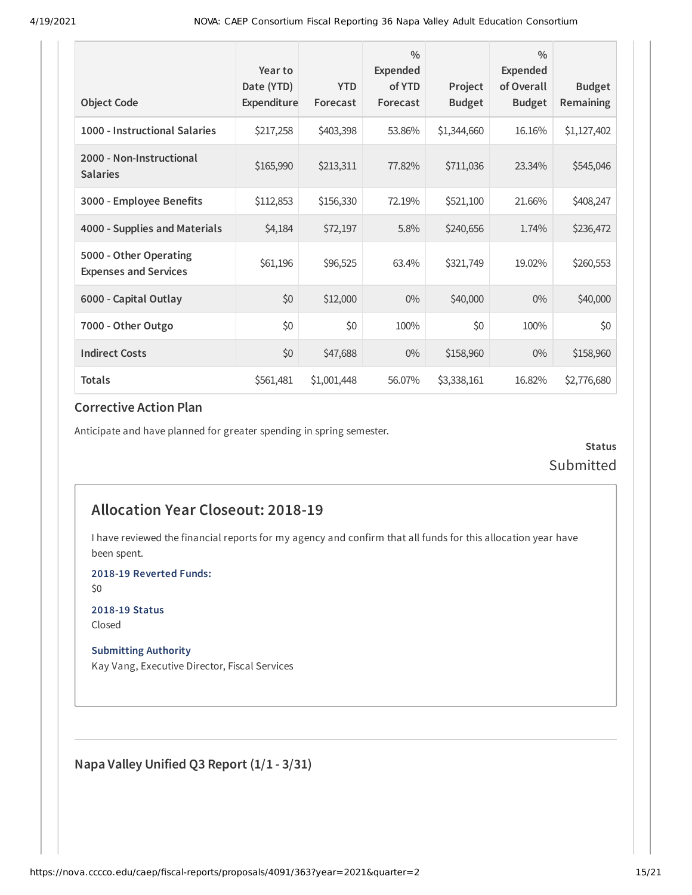| <b>Object Code</b>                                     | Year to<br>Date (YTD)<br>Expenditure | <b>YTD</b><br>Forecast | $\frac{0}{0}$<br>Expended<br>of YTD<br>Forecast | Project<br><b>Budget</b> | $\frac{0}{0}$<br><b>Expended</b><br>of Overall<br><b>Budget</b> | <b>Budget</b><br>Remaining |
|--------------------------------------------------------|--------------------------------------|------------------------|-------------------------------------------------|--------------------------|-----------------------------------------------------------------|----------------------------|
|                                                        |                                      |                        |                                                 |                          |                                                                 |                            |
| 1000 - Instructional Salaries                          | \$217,258                            | \$403,398              | 53.86%                                          | \$1,344,660              | 16.16%                                                          | \$1,127,402                |
| 2000 - Non-Instructional<br><b>Salaries</b>            | \$165,990                            | \$213,311              | 77.82%                                          | \$711,036                | 23.34%                                                          | \$545,046                  |
| 3000 - Employee Benefits                               | \$112,853                            | \$156,330              | 72.19%                                          | \$521,100                | 21.66%                                                          | \$408,247                  |
| 4000 - Supplies and Materials                          | \$4,184                              | \$72,197               | 5.8%                                            | \$240,656                | 1.74%                                                           | \$236,472                  |
| 5000 - Other Operating<br><b>Expenses and Services</b> | \$61,196                             | \$96,525               | 63.4%                                           | \$321,749                | 19.02%                                                          | \$260,553                  |
| 6000 - Capital Outlay                                  | \$0                                  | \$12,000               | $0\%$                                           | \$40,000                 | $0\%$                                                           | \$40,000                   |
| 7000 - Other Outgo                                     | \$0                                  | \$0                    | 100%                                            | \$0                      | 100%                                                            | \$0                        |
| <b>Indirect Costs</b>                                  | \$0                                  | \$47,688               | $0\%$                                           | \$158,960                | $0\%$                                                           | \$158,960                  |
| <b>Totals</b>                                          | \$561,481                            | \$1,001,448            | 56.07%                                          | \$3,338,161              | 16.82%                                                          | \$2,776,680                |

#### **Corrective Action Plan**

Anticipate and have planned for greater spending in spring semester.

**Status** Submitted

## **Allocation Year Closeout: 2018-19**

I have reviewed the financial reports for my agency and confirm that all funds for this allocation year have been spent.

**2018-19 Reverted Funds:**

\$0

**2018-19 Status** Closed

**Submitting Authority**

Kay Vang, Executive Director, Fiscal Services

**Napa Valley Unified Q3 Report (1/1 - 3/31)**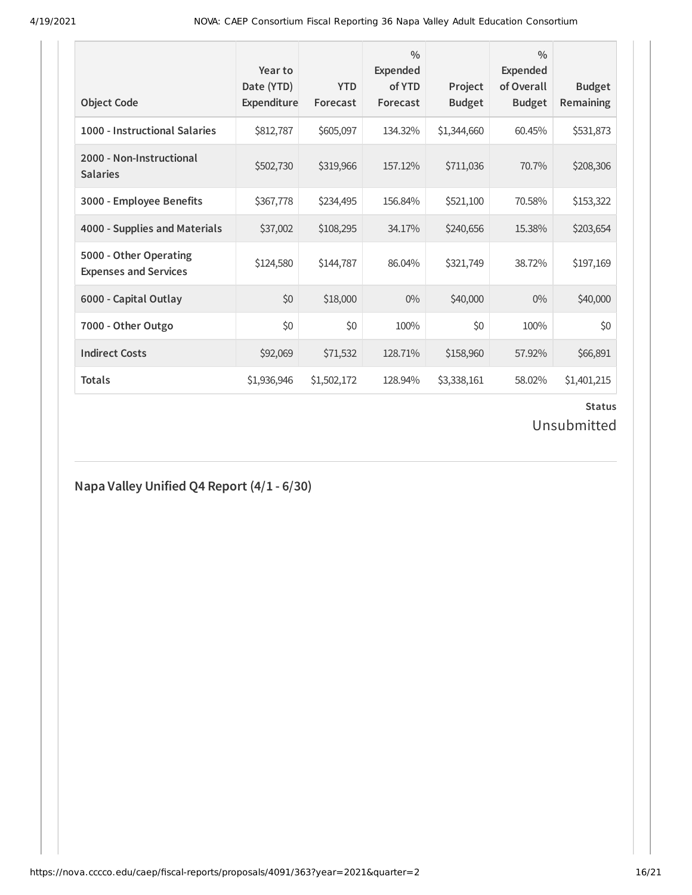| <b>Object Code</b>                                     | Year to<br>Date (YTD)<br>Expenditure | <b>YTD</b><br>Forecast | $\frac{0}{0}$<br>Expended<br>of YTD<br>Forecast | Project<br><b>Budget</b> | $\frac{0}{0}$<br>Expended<br>of Overall<br><b>Budget</b> | <b>Budget</b><br>Remaining |
|--------------------------------------------------------|--------------------------------------|------------------------|-------------------------------------------------|--------------------------|----------------------------------------------------------|----------------------------|
| 1000 - Instructional Salaries                          | \$812,787                            | \$605,097              | 134.32%                                         | \$1,344,660              | 60.45%                                                   | \$531,873                  |
| 2000 - Non-Instructional<br><b>Salaries</b>            | \$502,730                            | \$319,966              | 157.12%                                         | \$711,036                | 70.7%                                                    | \$208,306                  |
| 3000 - Employee Benefits                               | \$367,778                            | \$234,495              | 156.84%                                         | \$521,100                | 70.58%                                                   | \$153,322                  |
| 4000 - Supplies and Materials                          | \$37,002                             | \$108,295              | 34.17%                                          | \$240,656                | 15.38%                                                   | \$203,654                  |
| 5000 - Other Operating<br><b>Expenses and Services</b> | \$124,580                            | \$144,787              | 86.04%                                          | \$321,749                | 38.72%                                                   | \$197,169                  |
| 6000 - Capital Outlay                                  | \$0                                  | \$18,000               | $0\%$                                           | \$40,000                 | $0\%$                                                    | \$40,000                   |
| 7000 - Other Outgo                                     | \$0                                  | \$0                    | 100%                                            | \$0                      | 100%                                                     | \$0                        |
| <b>Indirect Costs</b>                                  | \$92,069                             | \$71,532               | 128.71%                                         | \$158,960                | 57.92%                                                   | \$66,891                   |
| <b>Totals</b>                                          | \$1,936,946                          | \$1,502,172            | 128.94%                                         | \$3,338,161              | 58.02%                                                   | \$1,401,215                |

### **Status**

## Unsubmitted

## **Napa Valley Unified Q4 Report (4/1 - 6/30)**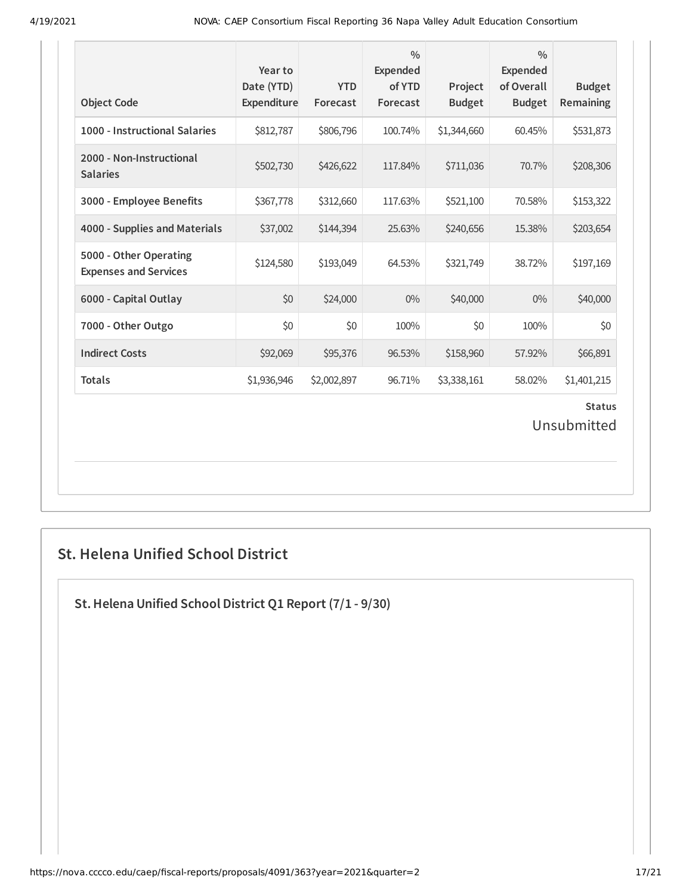| <b>Object Code</b>                                     | Year to<br>Date (YTD)<br>Expenditure | <b>YTD</b><br>Forecast | $\frac{0}{0}$<br>Expended<br>of YTD<br>Forecast | Project<br><b>Budget</b> | $\frac{0}{0}$<br>Expended<br>of Overall<br><b>Budget</b> | <b>Budget</b><br>Remaining   |
|--------------------------------------------------------|--------------------------------------|------------------------|-------------------------------------------------|--------------------------|----------------------------------------------------------|------------------------------|
| 1000 - Instructional Salaries                          | \$812,787                            | \$806,796              | 100.74%                                         | \$1,344,660              | 60.45%                                                   | \$531,873                    |
| 2000 - Non-Instructional<br><b>Salaries</b>            | \$502,730                            | \$426,622              | 117.84%                                         | \$711,036                | 70.7%                                                    | \$208,306                    |
| 3000 - Employee Benefits                               | \$367,778                            | \$312,660              | 117.63%                                         | \$521,100                | 70.58%                                                   | \$153,322                    |
| 4000 - Supplies and Materials                          | \$37,002                             | \$144,394              | 25.63%                                          | \$240,656                | 15.38%                                                   | \$203,654                    |
| 5000 - Other Operating<br><b>Expenses and Services</b> | \$124,580                            | \$193,049              | 64.53%                                          | \$321,749                | 38.72%                                                   | \$197,169                    |
| 6000 - Capital Outlay                                  | \$0                                  | \$24,000               | $0\%$                                           | \$40,000                 | $0\%$                                                    | \$40,000                     |
| 7000 - Other Outgo                                     | \$0                                  | \$0                    | 100%                                            | \$0                      | 100%                                                     | \$0                          |
| <b>Indirect Costs</b>                                  | \$92,069                             | \$95,376               | 96.53%                                          | \$158,960                | 57.92%                                                   | \$66,891                     |
| <b>Totals</b>                                          | \$1,936,946                          | \$2,002,897            | 96.71%                                          | \$3,338,161              | 58.02%                                                   | \$1,401,215                  |
|                                                        |                                      |                        |                                                 |                          |                                                          | <b>Status</b><br>Unsubmitted |

## **St. Helena Unified School District**

**St.Helena Unified School District Q1 Report (7/1 - 9/30)**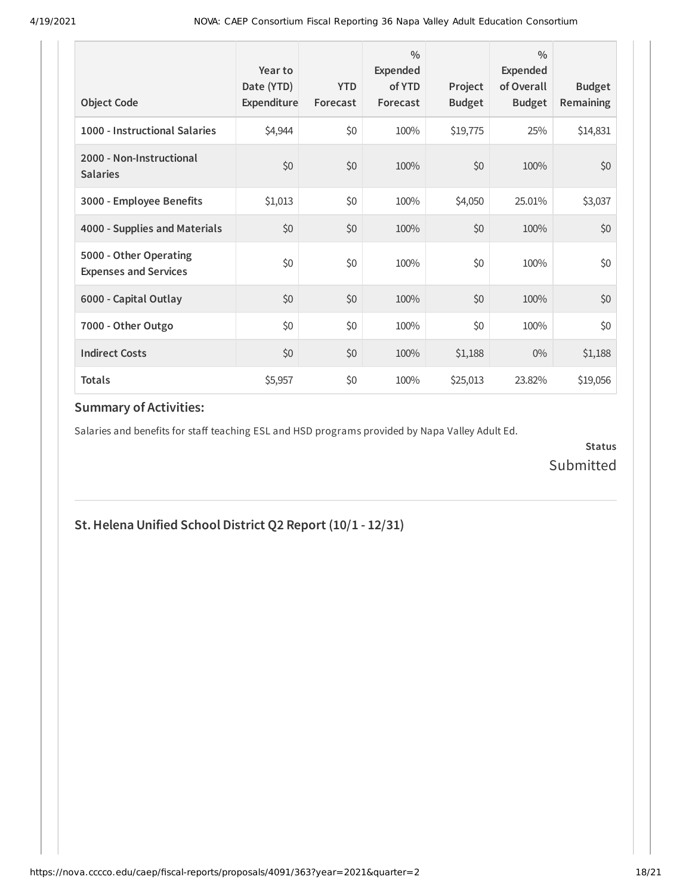| <b>Object Code</b>                                     | Year to<br>Date (YTD)<br>Expenditure | <b>YTD</b><br>Forecast | $\frac{0}{0}$<br>Expended<br>of YTD<br>Forecast | Project<br><b>Budget</b> | $\frac{0}{0}$<br>Expended<br>of Overall<br><b>Budget</b> | <b>Budget</b><br><b>Remaining</b> |
|--------------------------------------------------------|--------------------------------------|------------------------|-------------------------------------------------|--------------------------|----------------------------------------------------------|-----------------------------------|
| 1000 - Instructional Salaries                          | \$4,944                              | \$0                    | 100%                                            | \$19,775                 | 25%                                                      | \$14,831                          |
| 2000 - Non-Instructional<br><b>Salaries</b>            | \$0                                  | \$0                    | 100%                                            | \$0                      | 100%                                                     | \$0                               |
| 3000 - Employee Benefits                               | \$1,013                              | \$0                    | 100%                                            | \$4,050                  | 25.01%                                                   | \$3,037                           |
| 4000 - Supplies and Materials                          | \$0                                  | \$0                    | 100%                                            | \$0                      | 100%                                                     | \$0                               |
| 5000 - Other Operating<br><b>Expenses and Services</b> | \$0                                  | \$0                    | 100%                                            | \$0                      | 100%                                                     | \$0                               |
| 6000 - Capital Outlay                                  | \$0                                  | \$0                    | 100%                                            | \$0                      | 100%                                                     | \$0                               |
| 7000 - Other Outgo                                     | \$0                                  | \$0                    | 100%                                            | \$0                      | 100%                                                     | \$0                               |
| <b>Indirect Costs</b>                                  | \$0                                  | \$0                    | 100%                                            | \$1,188                  | $0\%$                                                    | \$1,188                           |
| <b>Totals</b>                                          | \$5,957                              | \$0                    | 100%                                            | \$25,013                 | 23.82%                                                   | \$19,056                          |

Salaries and benefits for staff teaching ESL and HSD programs provided by Napa Valley Adult Ed.

**Status** Submitted

## **St.Helena Unified School District Q2 Report (10/1 - 12/31)**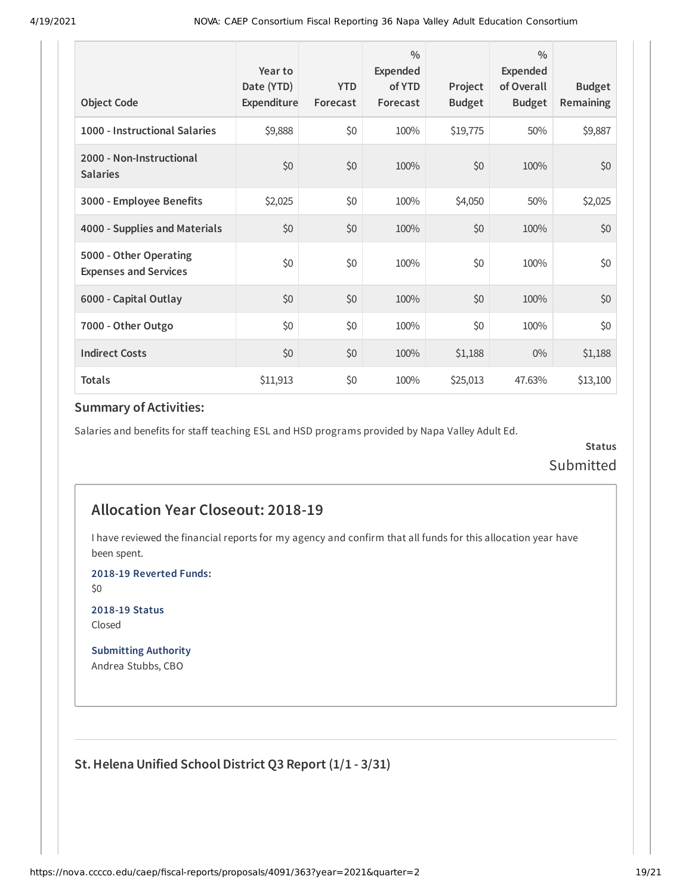| <b>Object Code</b>                                     | Year to<br>Date (YTD)<br>Expenditure | <b>YTD</b><br>Forecast | $\frac{0}{0}$<br>Expended<br>of YTD<br>Forecast | Project<br><b>Budget</b> | $\frac{0}{0}$<br>Expended<br>of Overall<br><b>Budget</b> | <b>Budget</b><br><b>Remaining</b> |
|--------------------------------------------------------|--------------------------------------|------------------------|-------------------------------------------------|--------------------------|----------------------------------------------------------|-----------------------------------|
| 1000 - Instructional Salaries                          | \$9,888                              | \$0                    | 100%                                            | \$19,775                 | 50%                                                      | \$9,887                           |
| 2000 - Non-Instructional<br><b>Salaries</b>            | \$0                                  | \$0                    | 100%                                            | \$0                      | 100%                                                     | \$0                               |
| 3000 - Employee Benefits                               | \$2,025                              | \$0                    | 100%                                            | \$4,050                  | 50%                                                      | \$2,025                           |
| 4000 - Supplies and Materials                          | \$0                                  | \$0                    | 100%                                            | \$0                      | 100%                                                     | \$0                               |
| 5000 - Other Operating<br><b>Expenses and Services</b> | \$0                                  | \$0                    | 100%                                            | \$0                      | 100%                                                     | \$0                               |
| 6000 - Capital Outlay                                  | \$0                                  | \$0                    | 100%                                            | \$0                      | 100%                                                     | \$0                               |
| 7000 - Other Outgo                                     | \$0                                  | \$0                    | 100%                                            | \$0                      | 100%                                                     | \$0                               |
| <b>Indirect Costs</b>                                  | \$0                                  | \$0                    | 100%                                            | \$1,188                  | $0\%$                                                    | \$1,188                           |
| <b>Totals</b>                                          | \$11,913                             | \$0                    | 100%                                            | \$25,013                 | 47.63%                                                   | \$13,100                          |

Salaries and benefits for staff teaching ESL and HSD programs provided by Napa Valley Adult Ed.

**Status** Submitted

## **Allocation Year Closeout: 2018-19**

I have reviewed the financial reports for my agency and confirm that all funds for this allocation year have been spent.

**2018-19 Reverted Funds:**

\$0

**2018-19 Status** Closed

**Submitting Authority** Andrea Stubbs, CBO

**St.Helena Unified School District Q3 Report (1/1 - 3/31)**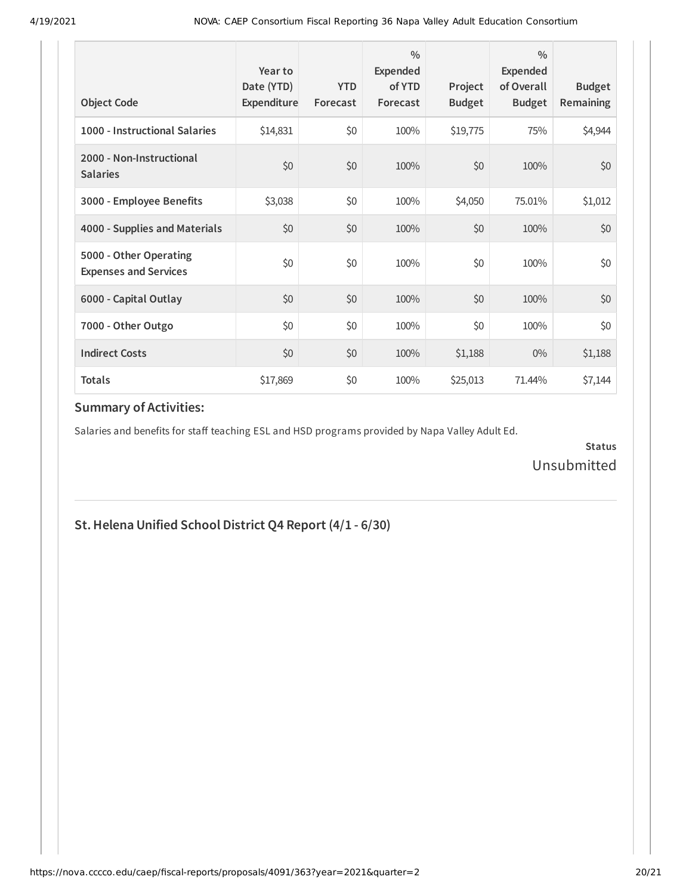| <b>Object Code</b>                                     | Year to<br>Date (YTD)<br>Expenditure | <b>YTD</b><br>Forecast | $\frac{0}{0}$<br>Expended<br>of YTD<br>Forecast | Project<br><b>Budget</b> | $\frac{0}{0}$<br>Expended<br>of Overall<br><b>Budget</b> | <b>Budget</b><br><b>Remaining</b> |
|--------------------------------------------------------|--------------------------------------|------------------------|-------------------------------------------------|--------------------------|----------------------------------------------------------|-----------------------------------|
| 1000 - Instructional Salaries                          | \$14,831                             | \$0                    | 100%                                            | \$19,775                 | 75%                                                      | \$4,944                           |
| 2000 - Non-Instructional<br><b>Salaries</b>            | \$0                                  | \$0                    | 100%                                            | \$0                      | 100%                                                     | \$0                               |
| 3000 - Employee Benefits                               | \$3,038                              | \$0                    | 100%                                            | \$4,050                  | 75.01%                                                   | \$1,012                           |
| 4000 - Supplies and Materials                          | \$0                                  | \$0                    | 100%                                            | \$0                      | 100%                                                     | \$0                               |
| 5000 - Other Operating<br><b>Expenses and Services</b> | \$0                                  | \$0                    | 100%                                            | \$0                      | 100%                                                     | \$0                               |
| 6000 - Capital Outlay                                  | \$0                                  | \$0                    | 100%                                            | \$0                      | 100%                                                     | \$0                               |
| 7000 - Other Outgo                                     | \$0                                  | \$0                    | 100%                                            | \$0                      | 100%                                                     | \$0                               |
| <b>Indirect Costs</b>                                  | \$0                                  | \$0                    | 100%                                            | \$1,188                  | $0\%$                                                    | \$1,188                           |
| <b>Totals</b>                                          | \$17,869                             | \$0                    | 100%                                            | \$25,013                 | 71.44%                                                   | \$7,144                           |

Salaries and benefits for staff teaching ESL and HSD programs provided by Napa Valley Adult Ed.

**Status** Unsubmitted

## **St.Helena Unified School District Q4 Report (4/1 - 6/30)**